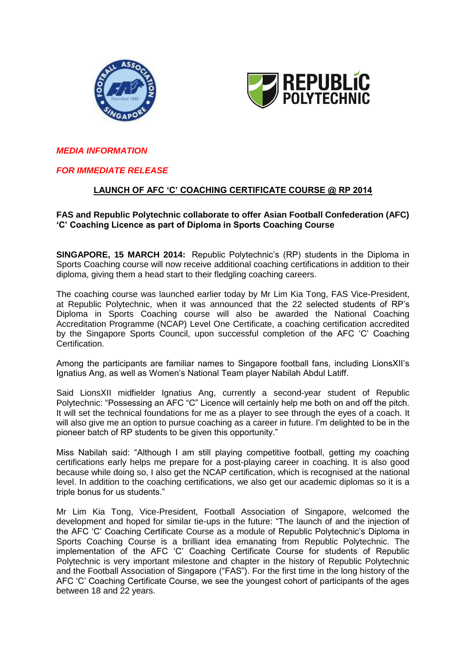



## *MEDIA INFORMATION*

## *FOR IMMEDIATE RELEASE*

# **LAUNCH OF AFC 'C' COACHING CERTIFICATE COURSE @ RP 2014**

## **FAS and Republic Polytechnic collaborate to offer Asian Football Confederation (AFC) 'C' Coaching Licence as part of Diploma in Sports Coaching Course**

**SINGAPORE, 15 MARCH 2014:** Republic Polytechnic's (RP) students in the Diploma in Sports Coaching course will now receive additional coaching certifications in addition to their diploma, giving them a head start to their fledgling coaching careers.

The coaching course was launched earlier today by Mr Lim Kia Tong, FAS Vice-President, at Republic Polytechnic, when it was announced that the 22 selected students of RP"s Diploma in Sports Coaching course will also be awarded the National Coaching Accreditation Programme (NCAP) Level One Certificate, a coaching certification accredited by the Singapore Sports Council, upon successful completion of the AFC "C" Coaching Certification.

Among the participants are familiar names to Singapore football fans, including LionsXII"s Ignatius Ang, as well as Women"s National Team player Nabilah Abdul Latiff.

Said LionsXII midfielder Ignatius Ang, currently a second-year student of Republic Polytechnic: "Possessing an AFC "C" Licence will certainly help me both on and off the pitch. It will set the technical foundations for me as a player to see through the eyes of a coach. It will also give me an option to pursue coaching as a career in future. I'm delighted to be in the pioneer batch of RP students to be given this opportunity."

Miss Nabilah said: "Although I am still playing competitive football, getting my coaching certifications early helps me prepare for a post-playing career in coaching. It is also good because while doing so, I also get the NCAP certification, which is recognised at the national level. In addition to the coaching certifications, we also get our academic diplomas so it is a triple bonus for us students."

Mr Lim Kia Tong, Vice-President, Football Association of Singapore, welcomed the development and hoped for similar tie-ups in the future: "The launch of and the injection of the AFC "C" Coaching Certificate Course as a module of Republic Polytechnic"s Diploma in Sports Coaching Course is a brilliant idea emanating from Republic Polytechnic. The implementation of the AFC "C" Coaching Certificate Course for students of Republic Polytechnic is very important milestone and chapter in the history of Republic Polytechnic and the Football Association of Singapore ("FAS"). For the first time in the long history of the AFC "C" Coaching Certificate Course, we see the youngest cohort of participants of the ages between 18 and 22 years.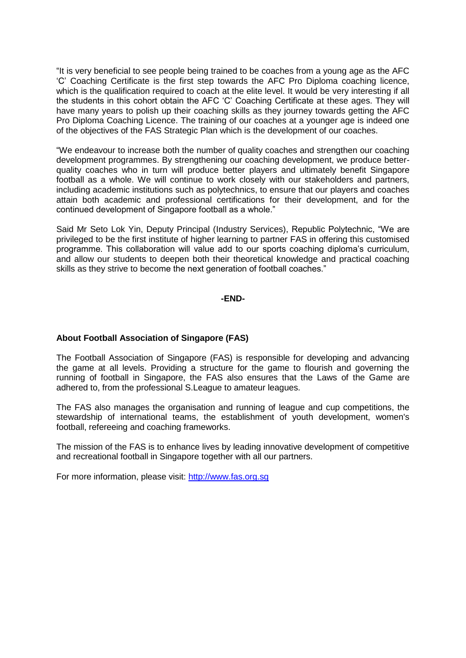"It is very beneficial to see people being trained to be coaches from a young age as the AFC "C" Coaching Certificate is the first step towards the AFC Pro Diploma coaching licence, which is the qualification required to coach at the elite level. It would be very interesting if all the students in this cohort obtain the AFC "C" Coaching Certificate at these ages. They will have many years to polish up their coaching skills as they journey towards getting the AFC Pro Diploma Coaching Licence. The training of our coaches at a younger age is indeed one of the objectives of the FAS Strategic Plan which is the development of our coaches.

"We endeavour to increase both the number of quality coaches and strengthen our coaching development programmes. By strengthening our coaching development, we produce betterquality coaches who in turn will produce better players and ultimately benefit Singapore football as a whole. We will continue to work closely with our stakeholders and partners, including academic institutions such as polytechnics, to ensure that our players and coaches attain both academic and professional certifications for their development, and for the continued development of Singapore football as a whole."

Said Mr Seto Lok Yin, Deputy Principal (Industry Services), Republic Polytechnic, "We are privileged to be the first institute of higher learning to partner FAS in offering this customised programme. This collaboration will value add to our sports coaching diploma"s curriculum, and allow our students to deepen both their theoretical knowledge and practical coaching skills as they strive to become the next generation of football coaches."

#### **-END-**

## **About Football Association of Singapore (FAS)**

The Football Association of Singapore (FAS) is responsible for developing and advancing the game at all levels. Providing a structure for the game to flourish and governing the running of football in Singapore, the FAS also ensures that the Laws of the Game are adhered to, from the professional S.League to amateur leagues.

The FAS also manages the organisation and running of league and cup competitions, the stewardship of international teams, the establishment of youth development, women's football, refereeing and coaching frameworks.

The mission of the FAS is to enhance lives by leading innovative development of competitive and recreational football in Singapore together with all our partners.

For more information, please visit: [http://www.fas.org.sg](http://www.fas.org.sg/)